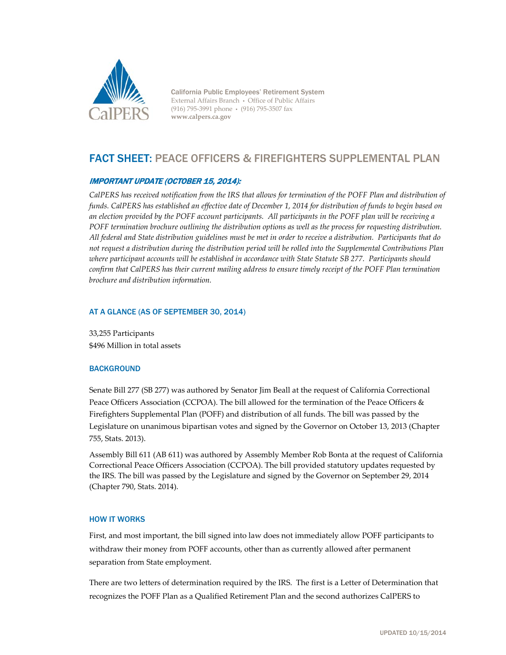

California Public Employees' Retirement System External Affairs Branch • Office of Public Affairs (916) 795-3991 phone • (916) 795-3507 fax **www.calpers.ca.gov**

# FACT SHEET: PEACE OFFICERS & FIREFIGHTERS SUPPLEMENTAL PLAN

## IMPORTANT UPDATE (OCTOBER 15, 2014):

CalPERS has received notification from the IRS that allows for termination of the POFF Plan and distribution of *funds. CalPERS has established an effective date of December 1, 2014 for distribution of funds to begin based on an election provided by the POFF account participants. All participants in the POFF plan will be receiving a POFF termination brochure outlining the distribution options as well as the process for requesting distribution. All federal and State distribution guidelines must be met in order to receive a distribution. Participants that do not request a distribution during the distribution period will be rolled into the Supplemental Contributions Plan where participant accounts will be established in accordance with State Statute SB 277. Participants should confirm that CalPERS has their current mailing address to ensure timely receipt of the POFF Plan termination brochure and distribution information.*

### AT A GLANCE (AS OF SEPTEMBER 30, 2014)

33,255 Participants \$496 Million in total assets

### **BACKGROUND**

Senate Bill 277 (SB 277) was authored by Senator Jim Beall at the request of California Correctional Peace Officers Association (CCPOA). The bill allowed for the termination of the Peace Officers & Firefighters Supplemental Plan (POFF) and distribution of all funds. The bill was passed by the Legislature on unanimous bipartisan votes and signed by the Governor on October 13, 2013 (Chapter 755, Stats. 2013).

Assembly Bill 611 (AB 611) was authored by Assembly Member Rob Bonta at the request of California Correctional Peace Officers Association (CCPOA). The bill provided statutory updates requested by the IRS. The bill was passed by the Legislature and signed by the Governor on September 29, 2014 (Chapter 790, Stats. 2014).

### HOW IT WORKS

First, and most important, the bill signed into law does not immediately allow POFF participants to withdraw their money from POFF accounts, other than as currently allowed after permanent separation from State employment.

There are two letters of determination required by the IRS. The first is a Letter of Determination that recognizes the POFF Plan as a Qualified Retirement Plan and the second authorizes CalPERS to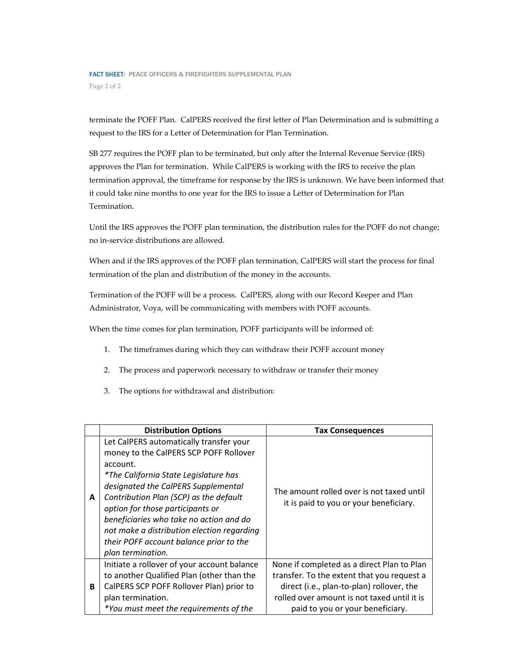terminate the POFF Plan. CalPERS received the first letter of Plan Determination and is submitting a request to the IRS for a Letter of Determination for Plan Termination.

SB 277 requires the POFF plan to be terminated, but only after the Internal Revenue Service (IRS) approves the Plan for termination. While CalPERS is working with the IRS to receive the plan termination approval, the timeframe for response by the IRS is unknown. We have been informed that it could take nine months to one year for the IRS to issue a Letter of Determination for Plan Termination.

Until the IRS approves the POFF plan termination, the distribution rules for the POFF do not change; no in-service distributions are allowed.

When and if the IRS approves of the POFF plan termination, CalPERS will start the process for final termination of the plan and distribution of the money in the accounts.

Termination of the POFF will be a process. CalPERS, along with our Record Keeper and Plan Administrator, Voya, will be communicating with members with POFF accounts.

When the time comes for plan termination, POFF participants will be informed of:

- 1. The timeframes during which they can withdraw their POFF account money
- 2. The process and paperwork necessary to withdraw or transfer their money
- 3. The options for withdrawal and distribution:

|   | <b>Distribution Options</b>                                                                                                                                                                                                                                                                                                                                                                                                 | <b>Tax Consequences</b>                                                                                                                                                                                                  |
|---|-----------------------------------------------------------------------------------------------------------------------------------------------------------------------------------------------------------------------------------------------------------------------------------------------------------------------------------------------------------------------------------------------------------------------------|--------------------------------------------------------------------------------------------------------------------------------------------------------------------------------------------------------------------------|
| A | Let CalPERS automatically transfer your<br>money to the CalPERS SCP POFF Rollover<br>account.<br><i>*The California State Legislature has</i><br>designated the CalPERS Supplemental<br>Contribution Plan (SCP) as the default<br>option for those participants or<br>beneficiaries who take no action and do<br>not make a distribution election regarding<br>their POFF account balance prior to the<br>plan termination. | The amount rolled over is not taxed until<br>it is paid to you or your beneficiary.                                                                                                                                      |
| B | Initiate a rollover of your account balance<br>to another Qualified Plan (other than the<br>CalPERS SCP POFF Rollover Plan) prior to<br>plan termination.<br>*You must meet the requirements of the                                                                                                                                                                                                                         | None if completed as a direct Plan to Plan<br>transfer. To the extent that you request a<br>direct (i.e., plan-to-plan) rollover, the<br>rolled over amount is not taxed until it is<br>paid to you or your beneficiary. |